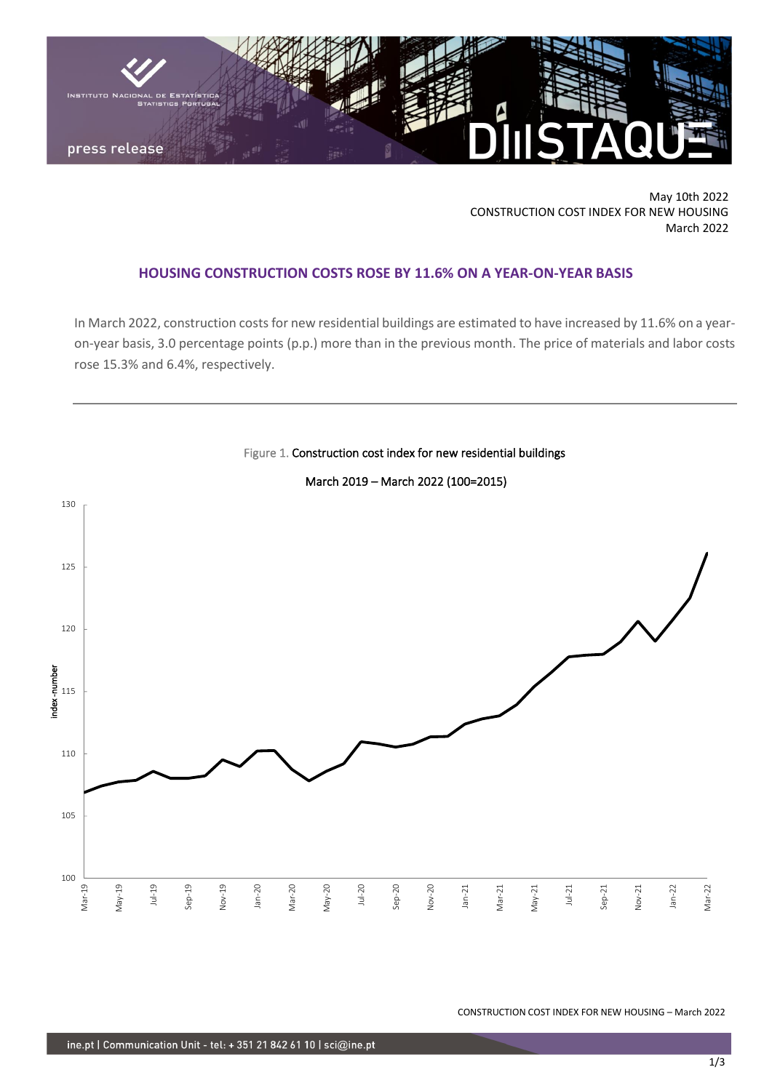

May 10th 2022 CONSTRUCTION COST INDEX FOR NEW HOUSING March 2022

# **HOUSING CONSTRUCTION COSTS ROSE BY 11.6% ON A YEAR-ON-YEAR BASIS**

In March 2022, construction costs for new residential buildings are estimated to have increased by 11.6% on a yearon-year basis, 3.0 percentage points (p.p.) more than in the previous month. The price of materials and labor costs rose 15.3% and 6.4%, respectively.



Figure 1. Construction cost index for new residential buildings March 2019 – March 2022 (100=2015)

CONSTRUCTION COST INDEX FOR NEW HOUSING – March 2022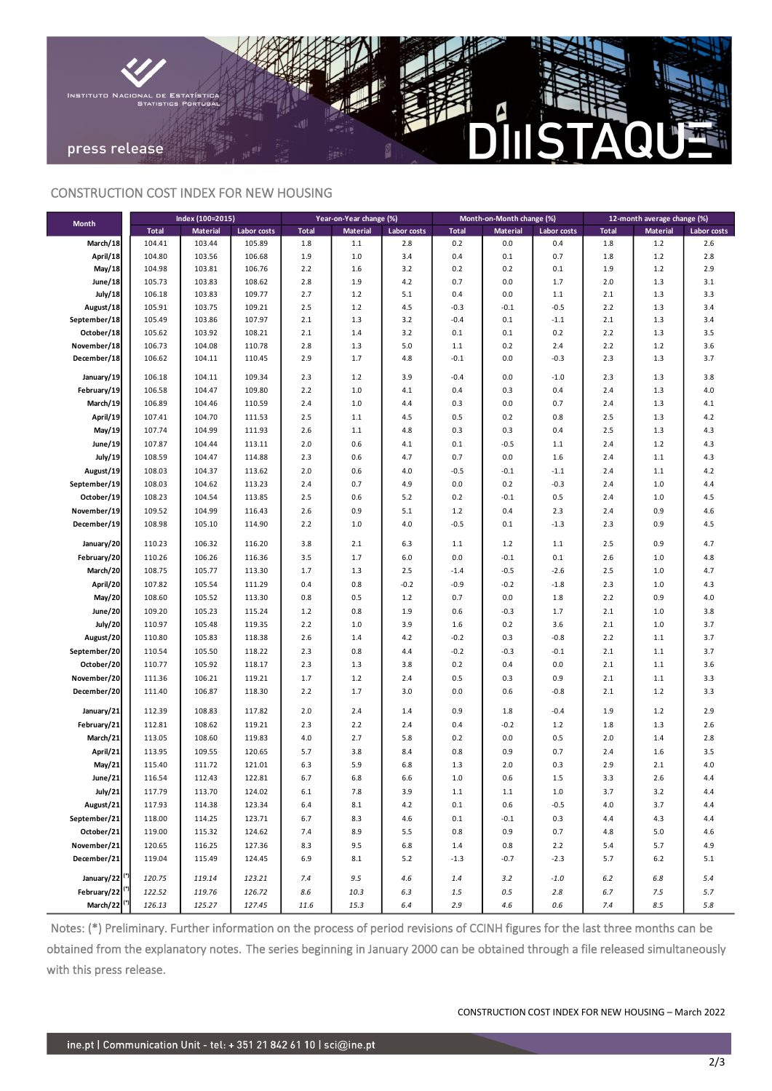

## CONSTRUCTION COST INDEX FOR NEW HOUSING

| <b>Month</b>                | Index (100=2015) |                 |             | Year-on-Year change (%) |                 |             | Month-on-Month change (%) |                 |             | 12-month average change (%) |                 |             |
|-----------------------------|------------------|-----------------|-------------|-------------------------|-----------------|-------------|---------------------------|-----------------|-------------|-----------------------------|-----------------|-------------|
|                             | <b>Total</b>     | <b>Material</b> | Labor costs | <b>Total</b>            | <b>Material</b> | Labor costs | <b>Total</b>              | <b>Material</b> | Labor costs | <b>Total</b>                | <b>Material</b> | Labor costs |
| March/18                    | 104.41           | 103.44          | 105.89      | 1.8                     | 1.1             | 2.8         | 0.2                       | 0.0             | 0.4         | 1.8                         | $1.2$           | 2.6         |
| April/18                    | 104.80           | 103.56          | 106.68      | 1.9                     | 1.0             | 3.4         | 0.4                       | 0.1             | 0.7         | 1.8                         | $1.2$           | 2.8         |
| May/18                      | 104.98           | 103.81          | 106.76      | 2.2                     | 1.6             | 3.2         | 0.2                       | 0.2             | 0.1         | 1.9                         | $1.2$           | 2.9         |
| June/18                     | 105.73           | 103.83          | 108.62      | 2.8                     | 1.9             | 4.2         | 0.7                       | 0.0             | 1.7         | 2.0                         | 1.3             | 3.1         |
| July/18                     | 106.18           | 103.83          | 109.77      | 2.7                     | 1.2             | 5.1         | 0.4                       | 0.0             | $1.1\,$     | 2.1                         | 1.3             | 3.3         |
| August/18                   | 105.91           | 103.75          | 109.21      | 2.5                     | 1.2             | 4.5         | $-0.3$                    | $-0.1$          | $-0.5$      | 2.2                         | 1.3             | 3.4         |
| September/18                | 105.49           | 103.86          | 107.97      | 2.1                     | 1.3             | 3.2         | $-0.4$                    | 0.1             | $-1.1$      | 2.1                         | 1.3             | 3.4         |
| October/18                  | 105.62           | 103.92          | 108.21      | 2.1                     | 1.4             | 3.2         | 0.1                       | 0.1             | 0.2         | 2.2                         | 1.3             | 3.5         |
| November/18                 | 106.73           | 104.08          | 110.78      | 2.8                     | 1.3             | 5.0         | $1.1\,$                   | 0.2             | 2.4         | 2.2                         | $1.2$           | 3.6         |
| December/18                 | 106.62           | 104.11          | 110.45      | 2.9                     | 1.7             | 4.8         | $-0.1$                    | 0.0             | $-0.3$      | 2.3                         | 1.3             | 3.7         |
| January/19                  | 106.18           | 104.11          | 109.34      | 2.3                     | 1.2             | 3.9         | $-0.4$                    | 0.0             | $-1.0$      | 2.3                         | 1.3             | 3.8         |
| February/19                 | 106.58           | 104.47          | 109.80      | 2.2                     | 1.0             | 4.1         | 0.4                       | 0.3             | 0.4         | 2.4                         | 1.3             | $4.0$       |
| March/19                    | 106.89           | 104.46          | 110.59      | 2.4                     | 1.0             | 4.4         | 0.3                       | 0.0             | 0.7         | 2.4                         | 1.3             | 4.1         |
| April/19                    | 107.41           | 104.70          | 111.53      | 2.5                     | 1.1             | 4.5         | 0.5                       | 0.2             | 0.8         | 2.5                         | 1.3             | 4.2         |
| May/19                      | 107.74           | 104.99          | 111.93      | 2.6                     | 1.1             | 4.8         | 0.3                       | 0.3             | 0.4         | 2.5                         | 1.3             | 4.3         |
| June/19                     | 107.87           | 104.44          | 113.11      | 2.0                     | 0.6             | 4.1         | 0.1                       | $-0.5$          | 1.1         | 2.4                         | 1.2             | 4.3         |
| July/19                     | 108.59           | 104.47          | 114.88      | 2.3                     | 0.6             | 4.7         | 0.7                       | 0.0             | 1.6         | 2.4                         | $1.1\,$         | 4.3         |
| August/19                   | 108.03           | 104.37          | 113.62      | 2.0                     | 0.6             | 4.0         | $-0.5$                    | $-0.1$          | $-1.1$      | 2.4                         | $1.1\,$         | 4.2         |
| September/19                | 108.03           | 104.62          | 113.23      | 2.4                     | 0.7             | 4.9         | 0.0                       | 0.2             | $-0.3$      | 2.4                         | $1.0$           | 4.4         |
| October/19                  | 108.23           | 104.54          | 113.85      | 2.5                     | 0.6             | 5.2         | 0.2                       | $-0.1$          | 0.5         | 2.4                         | $1.0$           | 4.5         |
| November/19                 | 109.52           | 104.99          | 116.43      | 2.6                     | 0.9             | 5.1         | 1.2                       | 0.4             | 2.3         | 2.4                         | 0.9             | 4.6         |
| December/19                 | 108.98           | 105.10          | 114.90      | 2.2                     | 1.0             | 4.0         | $-0.5$                    | 0.1             | $-1.3$      | 2.3                         | 0.9             | 4.5         |
|                             |                  |                 |             |                         |                 |             |                           |                 |             |                             |                 |             |
| January/20                  | 110.23           | 106.32          | 116.20      | 3.8                     | 2.1             | 6.3         | $1.1\,$                   | 1.2             | $1.1\,$     | 2.5                         | 0.9             | 4.7         |
| February/20                 | 110.26           | 106.26          | 116.36      | 3.5                     | 1.7             | 6.0         | 0.0                       | $-0.1$          | 0.1         | 2.6                         | $1.0$           | 4.8         |
| March/20                    | 108.75           | 105.77          | 113.30      | 1.7                     | 1.3             | 2.5         | $-1.4$                    | $-0.5$          | $-2.6$      | 2.5                         | $1.0$           | 4.7         |
| April/20                    | 107.82           | 105.54          | 111.29      | 0.4                     | 0.8             | $-0.2$      | $-0.9$                    | $-0.2$          | $-1.8$      | 2.3                         | $1.0$           | 4.3         |
| May/20                      | 108.60           | 105.52          | 113.30      | 0.8                     | 0.5             | $1.2$       | 0.7                       | 0.0             | 1.8         | 2.2                         | 0.9             | $4.0\,$     |
| June/20                     | 109.20           | 105.23          | 115.24      | 1.2                     | 0.8             | 1.9         | 0.6                       | $-0.3$          | 1.7         | 2.1                         | 1.0             | 3.8         |
| July/20                     | 110.97           | 105.48          | 119.35      | 2.2                     | 1.0             | 3.9         | 1.6                       | 0.2             | 3.6         | 2.1                         | $1.0$           | 3.7         |
| August/20                   | 110.80           | 105.83          | 118.38      | 2.6                     | 1.4             | 4.2         | $-0.2$                    | 0.3             | $-0.8$      | 2.2                         | 1.1             | 3.7         |
| September/20                | 110.54           | 105.50          | 118.22      | 2.3                     | 0.8             | 4.4         | $-0.2$                    | $-0.3$          | $-0.1$      | 2.1                         | 1.1             | 3.7         |
| October/20                  | 110.77           | 105.92          | 118.17      | 2.3                     | 1.3             | 3.8         | 0.2                       | 0.4             | 0.0         | 2.1                         | $1.1\,$         | 3.6         |
| November/20                 | 111.36           | 106.21          | 119.21      | 1.7                     | 1.2             | 2.4         | 0.5                       | 0.3             | 0.9         | 2.1                         | $1.1\,$         | 3.3         |
| December/20                 | 111.40           | 106.87          | 118.30      | 2.2                     | 1.7             | 3.0         | 0.0                       | 0.6             | $-0.8$      | 2.1                         | $1.2$           | 3.3         |
| January/21                  | 112.39           | 108.83          | 117.82      | 2.0                     | 2.4             | 1.4         | 0.9                       | 1.8             | $-0.4$      | 1.9                         | $1.2$           | 2.9         |
| February/21                 | 112.81           | 108.62          | 119.21      | 2.3                     | 2.2             | 2.4         | 0.4                       | $-0.2$          | $1.2$       | 1.8                         | 1.3             | 2.6         |
| March/21                    | 113.05           | 108.60          | 119.83      | 4.0                     | 2.7             | 5.8         | 0.2                       | 0.0             | 0.5         | 2.0                         | 1.4             | 2.8         |
| April/21                    | 113.95           | 109.55          | 120.65      | 5.7                     | 3.8             | 8.4         | 0.8                       | 0.9             | 0.7         | 2.4                         | 1.6             | 3.5         |
| May/21                      | 115.40           | 111.72          | 121.01      | 6.3                     | 5.9             | 6.8         | 1.3                       | 2.0             | 0.3         | 2.9                         | 2.1             | 4.0         |
| June/21                     | 116.54           | 112.43          | 122.81      | 6.7                     | 6.8             | 6.6         | 1.0                       | 0.6             | 1.5         | 3.3                         | 2.6             | 4.4         |
|                             | 117.79           | 113.70          | 124.02      | 6.1                     | 7.8             | 3.9         |                           |                 | 1.0         |                             | 3.2             |             |
| <b>July/21</b><br>August/21 | 117.93           | 114.38          | 123.34      | 6.4                     | 8.1             | 4.2         | 1.1<br>0.1                | 1.1<br>0.6      | $-0.5$      | 3.1<br>4.0                  | 3.7             | 4.4<br>4.4  |
| September/21                | 118.00           | 114.25          | 123.71      | 6.7                     | 8.3             | 4.6         | 0.1                       | $-0.1$          | 0.3         | 4.4                         | 4.3             | 4.4         |
| October/21                  | 119.00           | 115.32          | 124.62      | 7.4                     | 8.9             | 5.5         | 0.8                       | 0.9             | 0.7         | 4.8                         | 5.0             | 4.6         |
| November/21                 |                  |                 | 127.36      |                         | 9.5             |             |                           |                 |             |                             | 5.7             | 4.9         |
| December/21                 | 120.65           | 116.25          |             | 8.3                     |                 | 6.8         | 1.4                       | 0.8             | 2.2         | 5.4                         |                 |             |
|                             | 119.04           | 115.49          | 124.45      | 6.9                     | 8.1             | 5.2         | $-1.3$                    | $-0.7$          | $-2.3$      | 5.7                         | $6.2$           | 5.1         |
| January/22                  | 120.75           | 119.14          | 123.21      | 7.4                     | 9.5             | 4.6         | 1.4                       | 3.2             | $-1.0$      | 6.2                         | 6.8             | 5.4         |
| February/22  <sup>"</sup>   | 122.52           | 119.76          | 126.72      | 8.6                     | 10.3            | 6.3         | 1.5                       | $0.5\,$         | 2.8         | 6.7                         | 7.5             | 5.7         |
| March/22                    | 126.13           | 125.27          | 127.45      | 11.6                    | 15.3            | 6.4         | 2.9                       | 4.6             | 0.6         | 7.4                         | 8.5             | 5.8         |

Notes: (\*) Preliminary. Further information on the process of period revisions of CCINH figures for the last three months can be obtained from the explanatory notes. The series beginning in January 2000 can be obtained through a file released simultaneously with this press release.

CONSTRUCTION COST INDEX FOR NEW HOUSING – March 2022